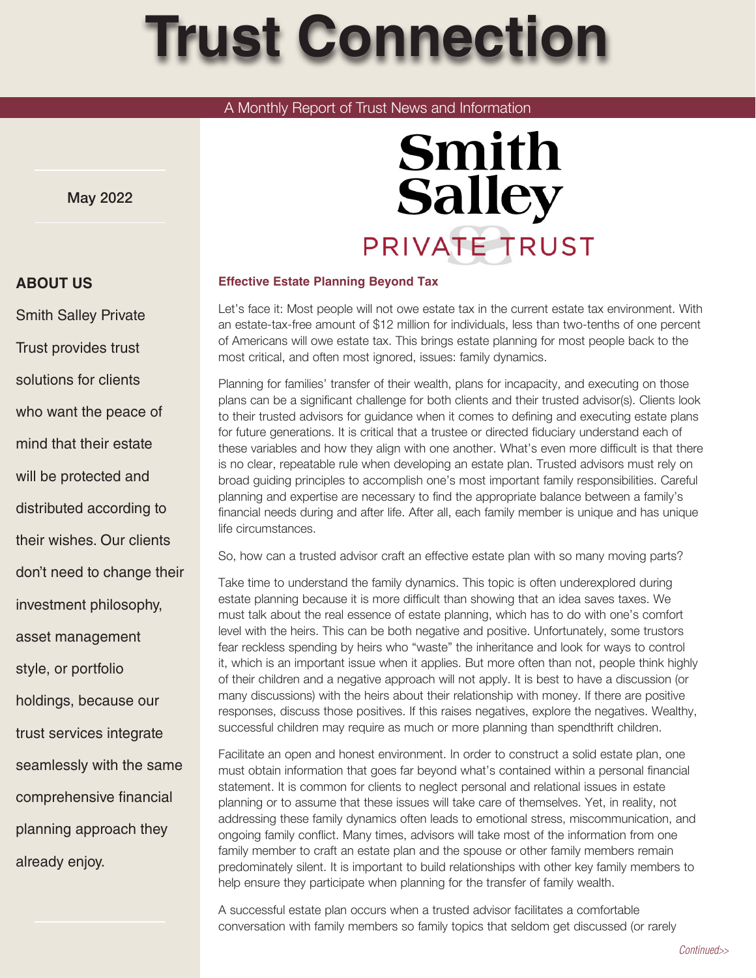# **Trust Connection**

## A Monthly Report of Trust News and Information

May 2022

# **Smith Salley** PRIVATE TRUST

#### **Effective Estate Planning Beyond Tax**

Let's face it: Most people will not owe estate tax in the current estate tax environment. With an estate-tax-free amount of \$12 million for individuals, less than two-tenths of one percent of Americans will owe estate tax. This brings estate planning for most people back to the most critical, and often most ignored, issues: family dynamics.

Planning for families' transfer of their wealth, plans for incapacity, and executing on those plans can be a significant challenge for both clients and their trusted advisor(s). Clients look to their trusted advisors for guidance when it comes to defining and executing estate plans for future generations. It is critical that a trustee or directed fiduciary understand each of these variables and how they align with one another. What's even more difficult is that there is no clear, repeatable rule when developing an estate plan. Trusted advisors must rely on broad guiding principles to accomplish one's most important family responsibilities. Careful planning and expertise are necessary to find the appropriate balance between a family's financial needs during and after life. After all, each family member is unique and has unique life circumstances.

So, how can a trusted advisor craft an effective estate plan with so many moving parts?

Take time to understand the family dynamics. This topic is often underexplored during estate planning because it is more difficult than showing that an idea saves taxes. We must talk about the real essence of estate planning, which has to do with one's comfort level with the heirs. This can be both negative and positive. Unfortunately, some trustors fear reckless spending by heirs who "waste" the inheritance and look for ways to control it, which is an important issue when it applies. But more often than not, people think highly of their children and a negative approach will not apply. It is best to have a discussion (or many discussions) with the heirs about their relationship with money. If there are positive responses, discuss those positives. If this raises negatives, explore the negatives. Wealthy, successful children may require as much or more planning than spendthrift children.

Facilitate an open and honest environment. In order to construct a solid estate plan, one must obtain information that goes far beyond what's contained within a personal financial statement. It is common for clients to neglect personal and relational issues in estate planning or to assume that these issues will take care of themselves. Yet, in reality, not addressing these family dynamics often leads to emotional stress, miscommunication, and ongoing family conflict. Many times, advisors will take most of the information from one family member to craft an estate plan and the spouse or other family members remain predominately silent. It is important to build relationships with other key family members to help ensure they participate when planning for the transfer of family wealth.

A successful estate plan occurs when a trusted advisor facilitates a comfortable conversation with family members so family topics that seldom get discussed (or rarely

## **ABOUT US**

Smith Salley Private Trust provides trust solutions for clients who want the peace of mind that their estate will be protected and distributed according to their wishes. Our clients don't need to change their investment philosophy, asset management style, or portfolio holdings, because our trust services integrate seamlessly with the same comprehensive financial planning approach they already enjoy.